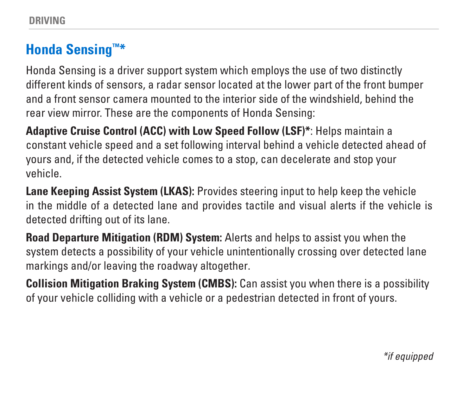### **Honda Sensing™\***

Honda Sensing is a driver support system which employs the use of two distinctly different kinds of sensors, a radar sensor located at the lower part of the front bumper and a front sensor camera mounted to the interior side of the windshield, behind the rear view mirror. These are the components of Honda Sensing:

**Adaptive Cruise Control (ACC) with Low Speed Follow (LSF)\***: Helps maintain a constant vehicle speed and a set following interval behind a vehicle detected ahead of yours and, if the detected vehicle comes to a stop, can decelerate and stop your vehicle.

**Lane Keeping Assist System (LKAS):** Provides steering input to help keep the vehicle in the middle of a detected lane and provides tactile and visual alerts if the vehicle is detected drifting out of its lane.

**Road Departure Mitigation (RDM) System:** Alerts and helps to assist you when the system detects a possibility of your vehicle unintentionally crossing over detected lane markings and/or leaving the roadway altogether.

**Collision Mitigation Braking System (CMBS):** Can assist you when there is a possibility of your vehicle colliding with a vehicle or a pedestrian detected in front of yours.